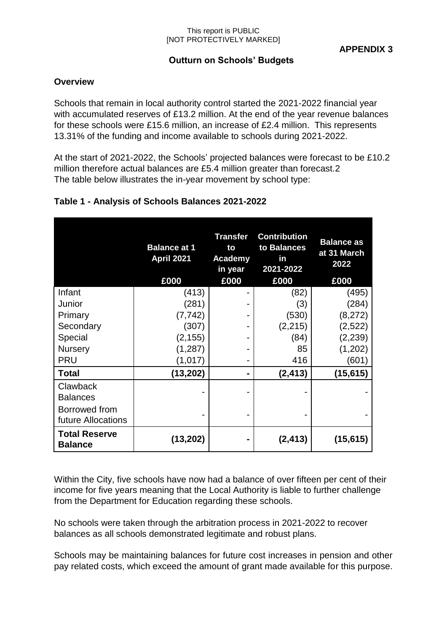#### This report is PUBLIC [NOT PROTECTIVELY MARKED]

# **Outturn on Schools' Budgets**

## **Overview**

Schools that remain in local authority control started the 2021-2022 financial year with accumulated reserves of £13.2 million. At the end of the year revenue balances for these schools were £15.6 million, an increase of £2.4 million. This represents 13.31% of the funding and income available to schools during 2021-2022.

At the start of 2021-2022, the Schools' projected balances were forecast to be £10.2 million therefore actual balances are £5.4 million greater than forecast.2 The table below illustrates the in-year movement by school type:

|                                        | <b>Balance at 1</b><br><b>April 2021</b><br>£000 | <b>Transfer</b><br>to<br>Academy<br>in year<br>£000 | <b>Contribution</b><br>to Balances<br>in<br>2021-2022<br>£000 | <b>Balance as</b><br>at 31 March<br>2022<br>£000 |
|----------------------------------------|--------------------------------------------------|-----------------------------------------------------|---------------------------------------------------------------|--------------------------------------------------|
| Infant                                 | (413)                                            |                                                     | (82)                                                          | (495)                                            |
| Junior                                 | (281)                                            |                                                     | (3)                                                           | (284)                                            |
| Primary                                | (7, 742)                                         |                                                     | (530)                                                         | (8, 272)                                         |
| Secondary                              | (307)                                            |                                                     | (2, 215)                                                      | (2,522)                                          |
| Special                                | (2, 155)                                         |                                                     | (84)                                                          | (2, 239)                                         |
| <b>Nursery</b>                         | (1, 287)                                         |                                                     | 85                                                            | (1,202)                                          |
| <b>PRU</b>                             | (1,017)                                          |                                                     | 416                                                           | (601                                             |
| <b>Total</b>                           | (13, 202)                                        | -                                                   | (2, 413)                                                      | (15, 615)                                        |
| Clawback<br><b>Balances</b>            |                                                  |                                                     |                                                               |                                                  |
| Borrowed from<br>future Allocations    |                                                  |                                                     |                                                               |                                                  |
| <b>Total Reserve</b><br><b>Balance</b> | (13,202)                                         |                                                     | (2, 413)                                                      | (15, 615)                                        |

## **Table 1 - Analysis of Schools Balances 2021-2022**

Within the City, five schools have now had a balance of over fifteen per cent of their income for five years meaning that the Local Authority is liable to further challenge from the Department for Education regarding these schools.

No schools were taken through the arbitration process in 2021-2022 to recover balances as all schools demonstrated legitimate and robust plans.

Schools may be maintaining balances for future cost increases in pension and other pay related costs, which exceed the amount of grant made available for this purpose.